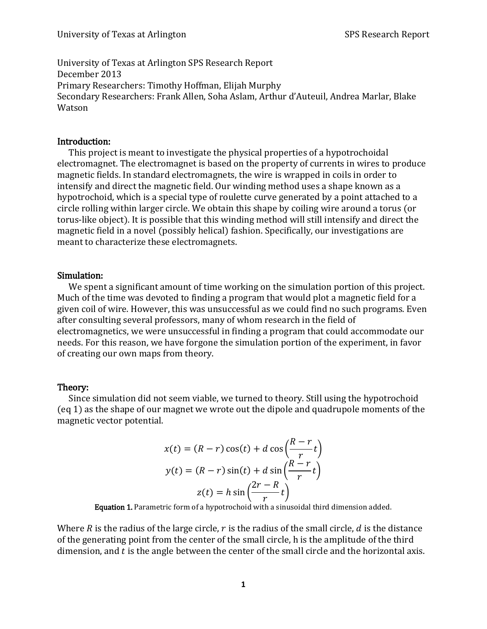University of Texas at Arlington SPS Research Report December 2013 Primary Researchers: Timothy Hoffman, Elijah Murphy Secondary Researchers: Frank Allen, Soha Aslam, Arthur d'Auteuil, Andrea Marlar, Blake Watson

### Introduction:

This project is meant to investigate the physical properties of a hypotrochoidal electromagnet. The electromagnet is based on the property of currents in wires to produce magnetic fields. In standard electromagnets, the wire is wrapped in coils in order to intensify and direct the magnetic field. Our winding method uses a shape known as a hypotrochoid, which is a special type of roulette curve generated by a point attached to a circle rolling within larger circle. We obtain this shape by coiling wire around a torus (or torus-like object). It is possible that this winding method will still intensify and direct the magnetic field in a novel (possibly helical) fashion. Specifically, our investigations are meant to characterize these electromagnets.

### Simulation:

We spent a significant amount of time working on the simulation portion of this project. Much of the time was devoted to finding a program that would plot a magnetic field for a given coil of wire. However, this was unsuccessful as we could find no such programs. Even after consulting several professors, many of whom research in the field of electromagnetics, we were unsuccessful in finding a program that could accommodate our needs. For this reason, we have forgone the simulation portion of the experiment, in favor of creating our own maps from theory.

## Theory:

Since simulation did not seem viable, we turned to theory. Still using the hypotrochoid (eq 1) as the shape of our magnet we wrote out the dipole and quadrupole moments of the magnetic vector potential.

$$
x(t) = (R - r)\cos(t) + d\cos\left(\frac{R - r}{r}t\right)
$$

$$
y(t) = (R - r)\sin(t) + d\sin\left(\frac{R - r}{r}t\right)
$$

$$
z(t) = h\sin\left(\frac{2r - R}{r}t\right)
$$

Equation 1. Parametric form of a hypotrochoid with a sinusoidal third dimension added.

Where R is the radius of the large circle,  $r$  is the radius of the small circle,  $d$  is the distance of the generating point from the center of the small circle, h is the amplitude of the third dimension, and  $t$  is the angle between the center of the small circle and the horizontal axis.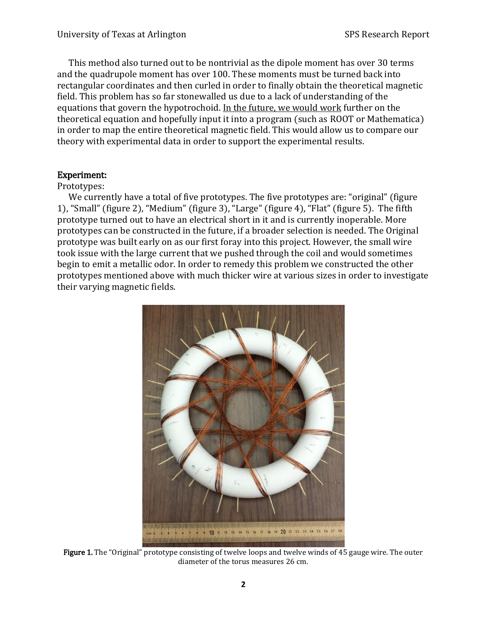This method also turned out to be nontrivial as the dipole moment has over 30 terms and the quadrupole moment has over 100. These moments must be turned back into rectangular coordinates and then curled in order to finally obtain the theoretical magnetic field. This problem has so far stonewalled us due to a lack of understanding of the equations that govern the hypotrochoid. In the future, we would work further on the theoretical equation and hopefully input it into a program (such as ROOT or Mathematica) in order to map the entire theoretical magnetic field. This would allow us to compare our theory with experimental data in order to support the experimental results.

### Experiment:

### Prototypes:

We currently have a total of five prototypes. The five prototypes are: "original" (figure 1), "Small" (figure 2), "Medium" (figure 3), "Large" (figure 4), "Flat" (figure 5). The fifth prototype turned out to have an electrical short in it and is currently inoperable. More prototypes can be constructed in the future, if a broader selection is needed. The Original prototype was built early on as our first foray into this project. However, the small wire took issue with the large current that we pushed through the coil and would sometimes begin to emit a metallic odor. In order to remedy this problem we constructed the other prototypes mentioned above with much thicker wire at various sizes in order to investigate their varying magnetic fields.



Figure 1. The "Original" prototype consisting of twelve loops and twelve winds of 45 gauge wire. The outer diameter of the torus measures 26 cm.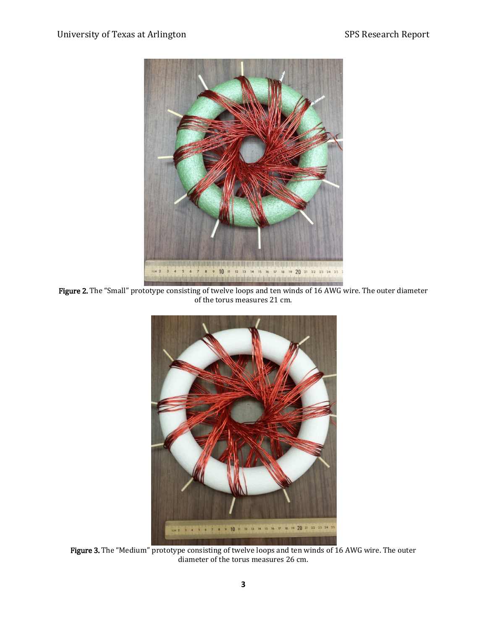

Figure 2. The "Small" prototype consisting of twelve loops and ten winds of 16 AWG wire. The outer diameter of the torus measures 21 cm.



Figure 3. The "Medium" prototype consisting of twelve loops and ten winds of 16 AWG wire. The outer diameter of the torus measures 26 cm.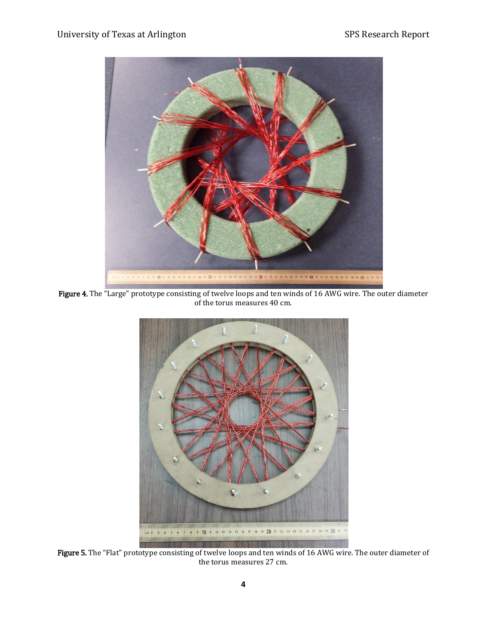

Figure 4. The "Large" prototype consisting of twelve loops and ten winds of 16 AWG wire. The outer diameter of the torus measures 40 cm.



Figure 5. The "Flat" prototype consisting of twelve loops and ten winds of 16 AWG wire. The outer diameter of the torus measures 27 cm.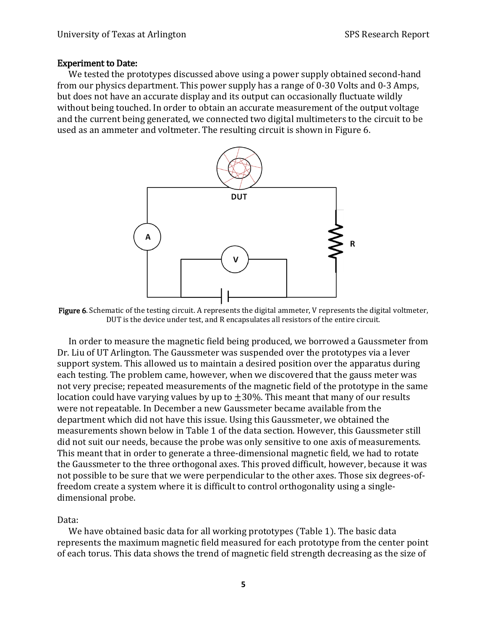#### Experiment to Date:

We tested the prototypes discussed above using a power supply obtained second-hand from our physics department. This power supply has a range of 0-30 Volts and 0-3 Amps, but does not have an accurate display and its output can occasionally fluctuate wildly without being touched. In order to obtain an accurate measurement of the output voltage and the current being generated, we connected two digital multimeters to the circuit to be used as an ammeter and voltmeter. The resulting circuit is shown in Figure 6.



Figure 6. Schematic of the testing circuit. A represents the digital ammeter, V represents the digital voltmeter, DUT is the device under test, and R encapsulates all resistors of the entire circuit.

In order to measure the magnetic field being produced, we borrowed a Gaussmeter from Dr. Liu of UT Arlington. The Gaussmeter was suspended over the prototypes via a lever support system. This allowed us to maintain a desired position over the apparatus during each testing. The problem came, however, when we discovered that the gauss meter was not very precise; repeated measurements of the magnetic field of the prototype in the same location could have varying values by up to  $\pm 30\%$ . This meant that many of our results were not repeatable. In December a new Gaussmeter became available from the department which did not have this issue. Using this Gaussmeter, we obtained the measurements shown below in Table 1 of the data section. However, this Gaussmeter still did not suit our needs, because the probe was only sensitive to one axis of measurements. This meant that in order to generate a three-dimensional magnetic field, we had to rotate the Gaussmeter to the three orthogonal axes. This proved difficult, however, because it was not possible to be sure that we were perpendicular to the other axes. Those six degrees-offreedom create a system where it is difficult to control orthogonality using a singledimensional probe.

Data:

We have obtained basic data for all working prototypes (Table 1). The basic data represents the maximum magnetic field measured for each prototype from the center point of each torus. This data shows the trend of magnetic field strength decreasing as the size of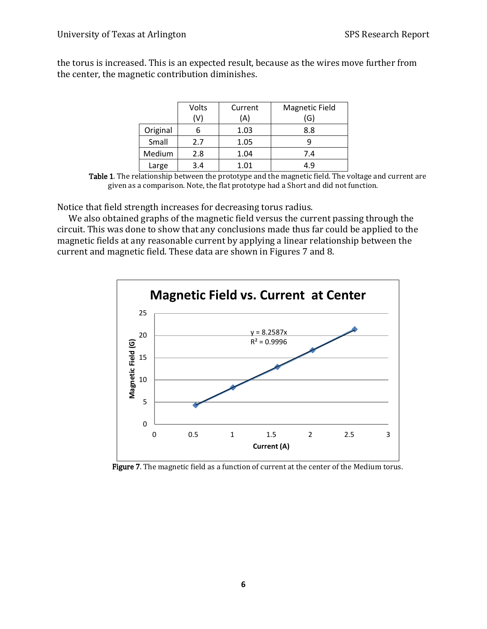the torus is increased. This is an expected result, because as the wires move further from the center, the magnetic contribution diminishes.

|          | Volts | Current | <b>Magnetic Field</b> |  |
|----------|-------|---------|-----------------------|--|
|          | (V)   | (A)     | (G)                   |  |
| Original |       | 1.03    | 8.8                   |  |
| Small    | 2.7   | 1.05    |                       |  |
| Medium   | 2.8   | 1.04    | 7.4                   |  |
| Large    | 3.4   | 1.01    | 49                    |  |

Table 1. The relationship between the prototype and the magnetic field. The voltage and current are given as a comparison. Note, the flat prototype had a Short and did not function.

Notice that field strength increases for decreasing torus radius.

We also obtained graphs of the magnetic field versus the current passing through the circuit. This was done to show that any conclusions made thus far could be applied to the magnetic fields at any reasonable current by applying a linear relationship between the current and magnetic field. These data are shown in Figures 7 and 8.



Figure 7. The magnetic field as a function of current at the center of the Medium torus.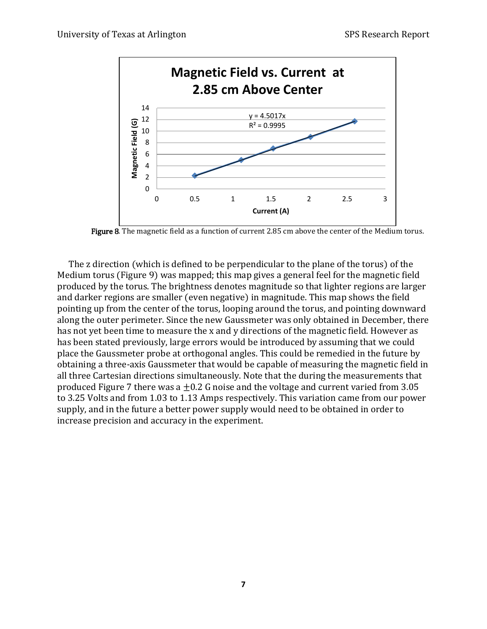

Figure 8. The magnetic field as a function of current 2.85 cm above the center of the Medium torus.

The z direction (which is defined to be perpendicular to the plane of the torus) of the Medium torus (Figure 9) was mapped; this map gives a general feel for the magnetic field produced by the torus. The brightness denotes magnitude so that lighter regions are larger and darker regions are smaller (even negative) in magnitude. This map shows the field pointing up from the center of the torus, looping around the torus, and pointing downward along the outer perimeter. Since the new Gaussmeter was only obtained in December, there has not yet been time to measure the x and y directions of the magnetic field. However as has been stated previously, large errors would be introduced by assuming that we could place the Gaussmeter probe at orthogonal angles. This could be remedied in the future by obtaining a three-axis Gaussmeter that would be capable of measuring the magnetic field in all three Cartesian directions simultaneously. Note that the during the measurements that produced Figure 7 there was a  $\pm 0.2$  G noise and the voltage and current varied from 3.05 to 3.25 Volts and from 1.03 to 1.13 Amps respectively. This variation came from our power supply, and in the future a better power supply would need to be obtained in order to increase precision and accuracy in the experiment.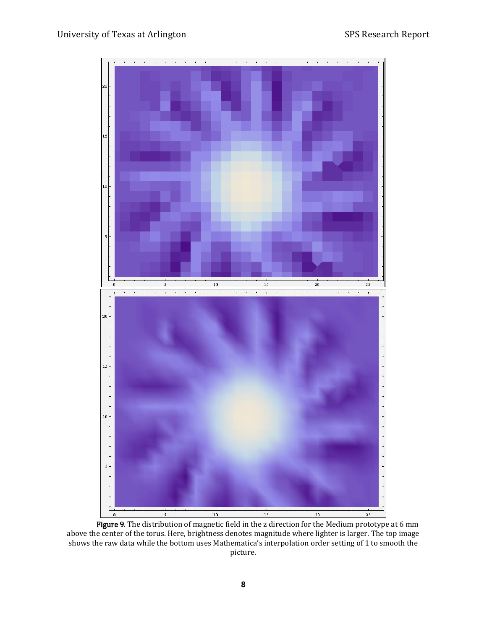# University of Texas at Arlington SPS Research Report



Figure 9. The distribution of magnetic field in the z direction for the Medium prototype at 6 mm above the center of the torus. Here, brightness denotes magnitude where lighter is larger. The top image shows the raw data while the bottom uses Mathematica's interpolation order setting of 1 to smooth the picture.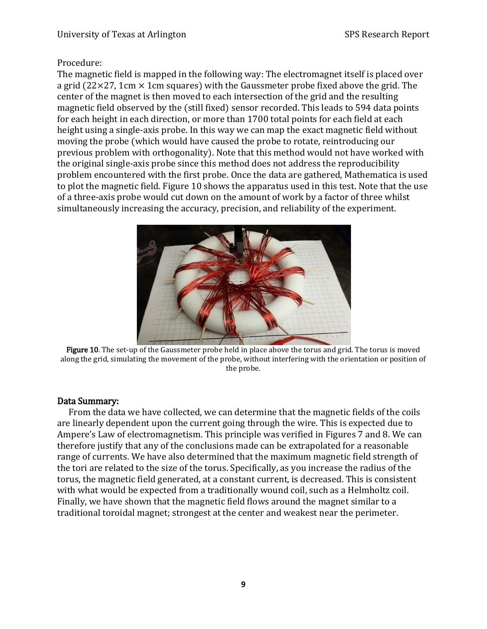# Procedure:

The magnetic field is mapped in the following way: The electromagnet itself is placed over a grid (22 $\times$ 27, 1cm  $\times$  1cm squares) with the Gaussmeter probe fixed above the grid. The center of the magnet is then moved to each intersection of the grid and the resulting magnetic field observed by the (still fixed) sensor recorded. This leads to 594 data points for each height in each direction, or more than 1700 total points for each field at each height using a single-axis probe. In this way we can map the exact magnetic field without moving the probe (which would have caused the probe to rotate, reintroducing our previous problem with orthogonality). Note that this method would not have worked with the original single-axis probe since this method does not address the reproducibility problem encountered with the first probe. Once the data are gathered, Mathematica is used to plot the magnetic field. Figure 10 shows the apparatus used in this test. Note that the use of a three-axis probe would cut down on the amount of work by a factor of three whilst simultaneously increasing the accuracy, precision, and reliability of the experiment.



Figure 10. The set-up of the Gaussmeter probe held in place above the torus and grid. The torus is moved along the grid, simulating the movement of the probe, without interfering with the orientation or position of the probe.

## Data Summary:

From the data we have collected, we can determine that the magnetic fields of the coils are linearly dependent upon the current going through the wire. This is expected due to Ampere's Law of electromagnetism. This principle was verified in Figures 7 and 8. We can therefore justify that any of the conclusions made can be extrapolated for a reasonable range of currents. We have also determined that the maximum magnetic field strength of the tori are related to the size of the torus. Specifically, as you increase the radius of the torus, the magnetic field generated, at a constant current, is decreased. This is consistent with what would be expected from a traditionally wound coil, such as a Helmholtz coil. Finally, we have shown that the magnetic field flows around the magnet similar to a traditional toroidal magnet; strongest at the center and weakest near the perimeter.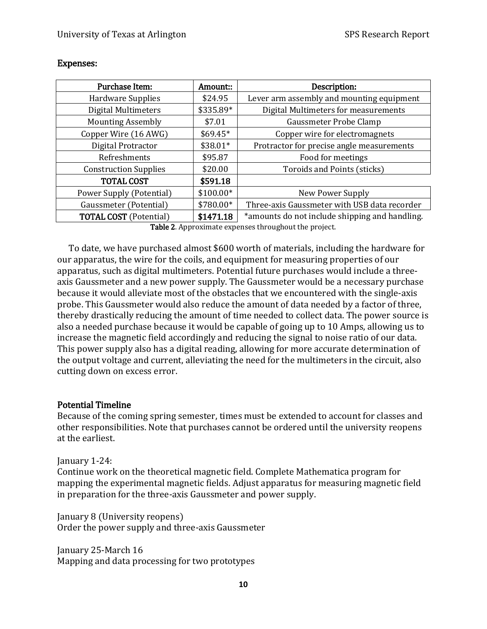| Purchase Item:                | Amount::  | Description:                                   |  |  |
|-------------------------------|-----------|------------------------------------------------|--|--|
| <b>Hardware Supplies</b>      | \$24.95   | Lever arm assembly and mounting equipment      |  |  |
| Digital Multimeters           | \$335.89* | Digital Multimeters for measurements           |  |  |
| <b>Mounting Assembly</b>      | \$7.01    | Gaussmeter Probe Clamp                         |  |  |
| Copper Wire (16 AWG)          | $$69.45*$ | Copper wire for electromagnets                 |  |  |
| Digital Protractor            | \$38.01*  | Protractor for precise angle measurements      |  |  |
| Refreshments                  | \$95.87   | Food for meetings                              |  |  |
| <b>Construction Supplies</b>  | \$20.00   | Toroids and Points (sticks)                    |  |  |
| <b>TOTAL COST</b>             | \$591.18  |                                                |  |  |
| Power Supply (Potential)      | \$100.00* | New Power Supply                               |  |  |
| Gaussmeter (Potential)        | \$780.00* | Three-axis Gaussmeter with USB data recorder   |  |  |
| <b>TOTAL COST</b> (Potential) | \$1471.18 | *amounts do not include shipping and handling. |  |  |

### Expenses:

Table 2. Approximate expenses throughout the project.

To date, we have purchased almost \$600 worth of materials, including the hardware for our apparatus, the wire for the coils, and equipment for measuring properties of our apparatus, such as digital multimeters. Potential future purchases would include a threeaxis Gaussmeter and a new power supply. The Gaussmeter would be a necessary purchase because it would alleviate most of the obstacles that we encountered with the single-axis probe. This Gaussmeter would also reduce the amount of data needed by a factor of three, thereby drastically reducing the amount of time needed to collect data. The power source is also a needed purchase because it would be capable of going up to 10 Amps, allowing us to increase the magnetic field accordingly and reducing the signal to noise ratio of our data. This power supply also has a digital reading, allowing for more accurate determination of the output voltage and current, alleviating the need for the multimeters in the circuit, also cutting down on excess error.

## Potential Timeline

Because of the coming spring semester, times must be extended to account for classes and other responsibilities. Note that purchases cannot be ordered until the university reopens at the earliest.

### January 1-24:

Continue work on the theoretical magnetic field. Complete Mathematica program for mapping the experimental magnetic fields. Adjust apparatus for measuring magnetic field in preparation for the three-axis Gaussmeter and power supply.

January 8 (University reopens) Order the power supply and three-axis Gaussmeter

January 25-March 16 Mapping and data processing for two prototypes